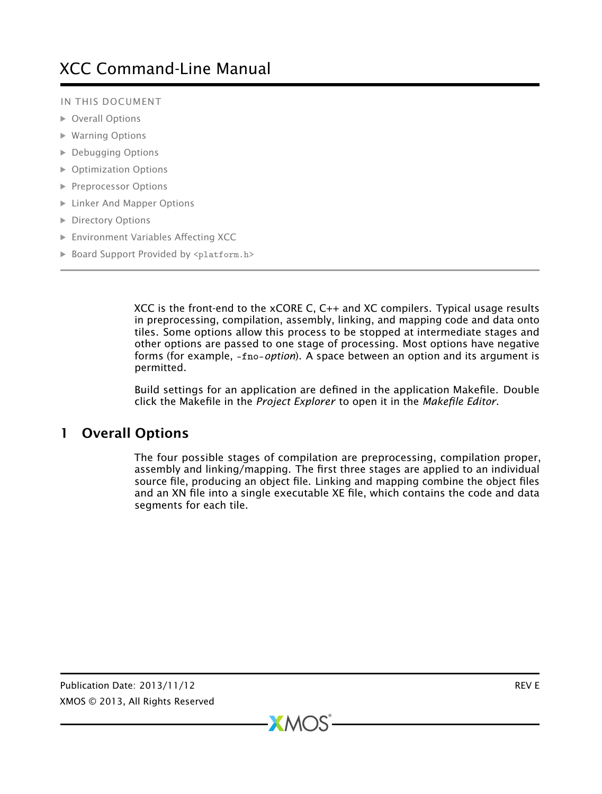#### IN THIS DOCUMENT

- · [Overall Options](#page-0-0)
- · [Warning Options](#page-3-0)
- · [Debugging Options](#page-6-0)
- · [Optimization Options](#page-7-0)
- **[Preprocessor Options](#page-8-0)**
- · [Linker And Mapper Options](#page-8-1)
- **[Directory Options](#page-9-0)**
- · [Environment Variables Affecting XCC](#page-10-0)
- · [Board Support Provided by](#page-10-1) <platform.h>

XCC is the front-end to the xCORE C, C++ and XC compilers. Typical usage results in preprocessing, compilation, assembly, linking, and mapping code and data onto tiles. Some options allow this process to be stopped at intermediate stages and other options are passed to one stage of processing. Most options have negative forms (for example, -fno-*option*). A space between an option and its argument is permitted.

<span id="page-0-0"></span>Build settings for an application are defined in the application Makefile. Double click the Makefile in the *Project Explorer* to open it in the *Makefile Editor*.

# 1 Overall Options

The four possible stages of compilation are preprocessing, compilation proper, assembly and linking/mapping. The first three stages are applied to an individual source file, producing an object file. Linking and mapping combine the object files and an XN file into a single executable XE file, which contains the code and data segments for each tile.

 $XMOS$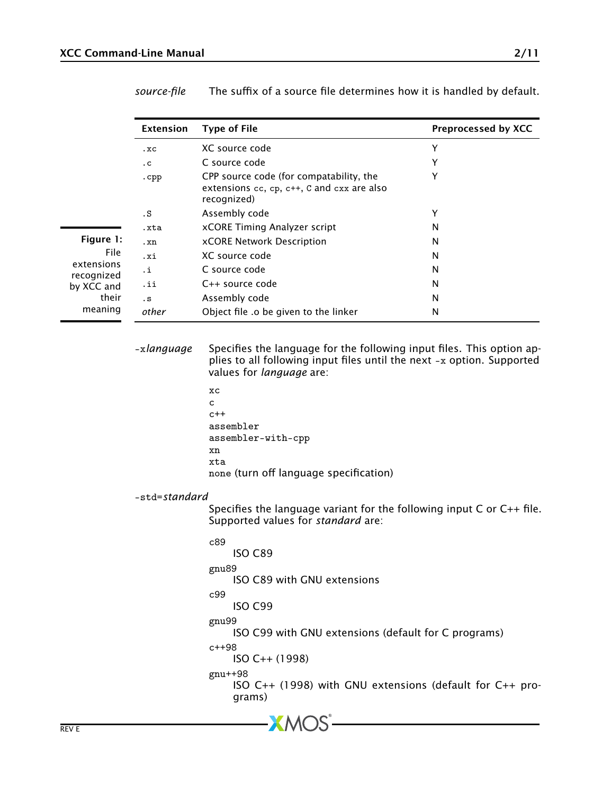|                          | Extension             | <b>Type of File</b>                                                                                                                                                                                                            | Preprocessed by XCC |
|--------------------------|-----------------------|--------------------------------------------------------------------------------------------------------------------------------------------------------------------------------------------------------------------------------|---------------------|
|                          | .xC                   | XC source code                                                                                                                                                                                                                 | Y                   |
|                          | $\cdot c$             | C source code                                                                                                                                                                                                                  | Y                   |
|                          | cpp                   | CPP source code (for compatability, the<br>extensions $cc$ , $cp$ , $c++$ , $c$ and $cxx$ are also<br>recognized)                                                                                                              | Y                   |
|                          | . S                   | Assembly code                                                                                                                                                                                                                  | Y                   |
|                          | .xta                  | xCORE Timing Analyzer script                                                                                                                                                                                                   | N                   |
| Figure 1:                | .xn                   | xCORE Network Description                                                                                                                                                                                                      | N                   |
| File                     | .xi                   | XC source code                                                                                                                                                                                                                 | N                   |
| extensions<br>recognized | ٠i                    | C source code                                                                                                                                                                                                                  | N                   |
| by XCC and               | .ii                   | C++ source code                                                                                                                                                                                                                | N                   |
| their                    | . s                   | Assembly code                                                                                                                                                                                                                  | N                   |
| meaning                  | other                 | Object file .o be given to the linker                                                                                                                                                                                          | N                   |
|                          |                       | plies to all following input files until the next -x option. Supported<br>values for language are:<br>хc<br>c<br>$c++$<br>assembler<br>assembler-with-cpp<br>xn<br>xta<br>none (turn off language specification)               |                     |
|                          | -std= <i>standard</i> |                                                                                                                                                                                                                                |                     |
|                          |                       | Specifies the language variant for the following input $C$ or $C++$ file.<br>Supported values for standard are:<br>c89<br>ISO C89<br>gnu89                                                                                     |                     |
|                          |                       | ISO C89 with GNU extensions<br>c99<br>ISO C99<br>gnu99<br>ISO C99 with GNU extensions (default for C programs)<br>$c++98$<br>$ISO C++ (1998)$<br>gnu++98<br>ISO $C_{++}$ (1998) with GNU extensions (default for $C_{++}$ pro- |                     |
|                          |                       | grams)                                                                                                                                                                                                                         |                     |

 $-MOS<sup>2</sup>$ 

*source-file* The suffix of a source file determines how it is handled by default.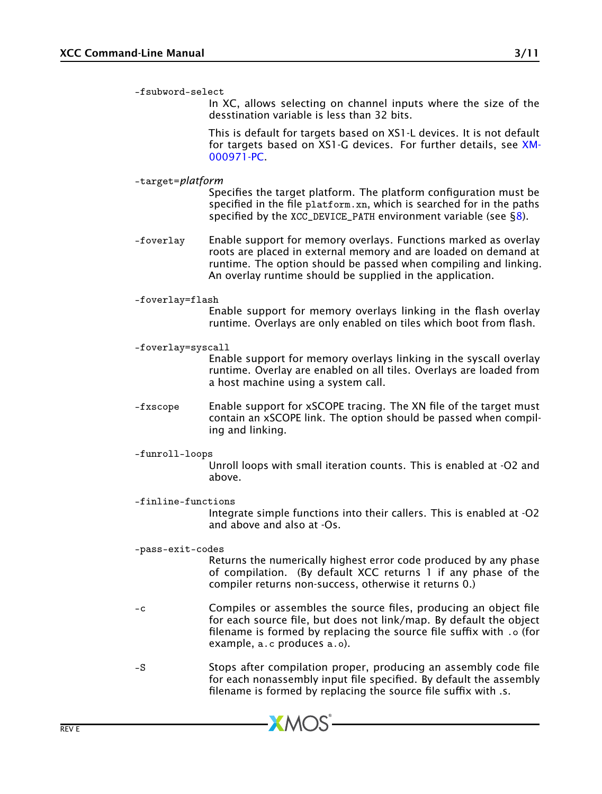-fsubword-select

In XC, allows selecting on channel inputs where the size of the desstination variable is less than 32 bits.

This is default for targets based on XS1-L devices. It is not default for targets based on XS1-G devices. For further details, see [XM-](http://www.xmos.com/doc/XM-000971-PC/latest#xs1-target-behavior-channel-communication)[000971-PC.](http://www.xmos.com/doc/XM-000971-PC/latest#xs1-target-behavior-channel-communication)

-target=*platform*

Specifies the target platform. The platform configuration must be specified in the file platform.xn, which is searched for in the paths specified by the  $XCC$  DEVICE PATH environment variable (see  $\S$ 8).

- -foverlay Enable support for memory overlays. Functions marked as overlay roots are placed in external memory and are loaded on demand at runtime. The option should be passed when compiling and linking. An overlay runtime should be supplied in the application.
- -foverlay=flash

Enable support for memory overlays linking in the flash overlay runtime. Overlays are only enabled on tiles which boot from flash.

-foverlay=syscall

Enable support for memory overlays linking in the syscall overlay runtime. Overlay are enabled on all tiles. Overlays are loaded from a host machine using a system call.

- -fxscope Enable support for xSCOPE tracing. The XN file of the target must contain an xSCOPE link. The option should be passed when compiling and linking.
- -funroll-loops

Unroll loops with small iteration counts. This is enabled at -O2 and above.

-finline-functions

Integrate simple functions into their callers. This is enabled at -O2 and above and also at -Os.

-pass-exit-codes

Returns the numerically highest error code produced by any phase of compilation. (By default XCC returns 1 if any phase of the compiler returns non-success, otherwise it returns 0.)

- -c Compiles or assembles the source files, producing an object file for each source file, but does not link/map. By default the object filename is formed by replacing the source file suffix with .o (for example, a.c produces a.o).
- -S Stops after compilation proper, producing an assembly code file for each nonassembly input file specified. By default the assembly filename is formed by replacing the source file suffix with .s.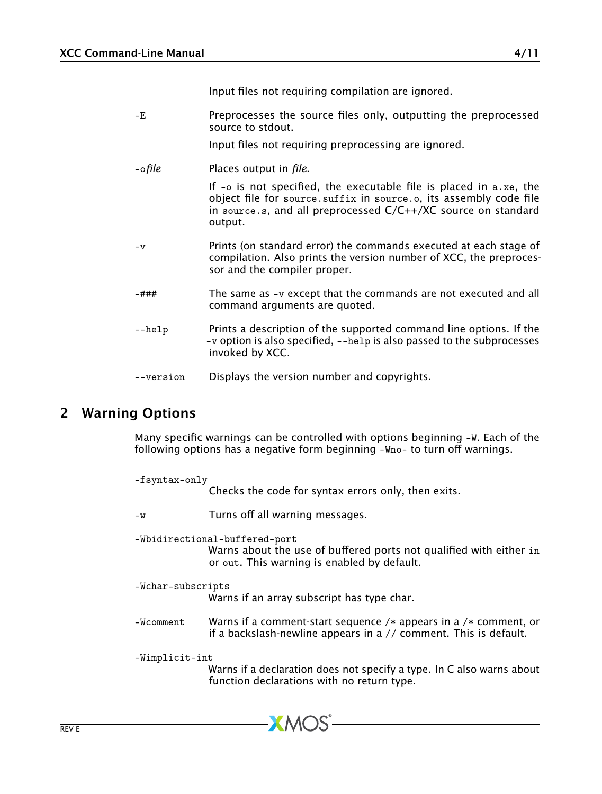Input files not requiring compilation are ignored.

- -E Preprocesses the source files only, outputting the preprocessed source to stdout.
	- Input files not requiring preprocessing are ignored.
- -o*file* Places output in *file*.

If -o is not specified, the executable file is placed in a.xe, the object file for source.suffix in source.o, its assembly code file in source.s, and all preprocessed C/C++/XC source on standard output.

- -v Prints (on standard error) the commands executed at each stage of compilation. Also prints the version number of XCC, the preprocessor and the compiler proper.
- -### The same as -v except that the commands are not executed and all command arguments are quoted.
- --help Prints a description of the supported command line options. If the -v option is also specified, --help is also passed to the subprocesses invoked by XCC.
- <span id="page-3-0"></span>--version Displays the version number and copyrights.

### 2 Warning Options

Many specific warnings can be controlled with options beginning -W. Each of the following options has a negative form beginning -Who- to turn off warnings.

| -fsyntax-only     | Checks the code for syntax errors only, then exits.                                                                                                |
|-------------------|----------------------------------------------------------------------------------------------------------------------------------------------------|
| $-W$              | Turns off all warning messages.                                                                                                                    |
|                   | -Wbidirectional-buffered-port<br>Warns about the use of buffered ports not qualified with either in<br>or out. This warning is enabled by default. |
| -Wchar-subscripts | Warns if an array subscript has type char.                                                                                                         |
| -Wcomment         | Warns if a comment-start sequence /* appears in a /* comment, or<br>if a backslash-newline appears in a // comment. This is default.               |
| -Wimplicit-int    | Warns if a declaration does not specify a type. In C also warns about<br>function declarations with no return type.                                |

 $XMOS$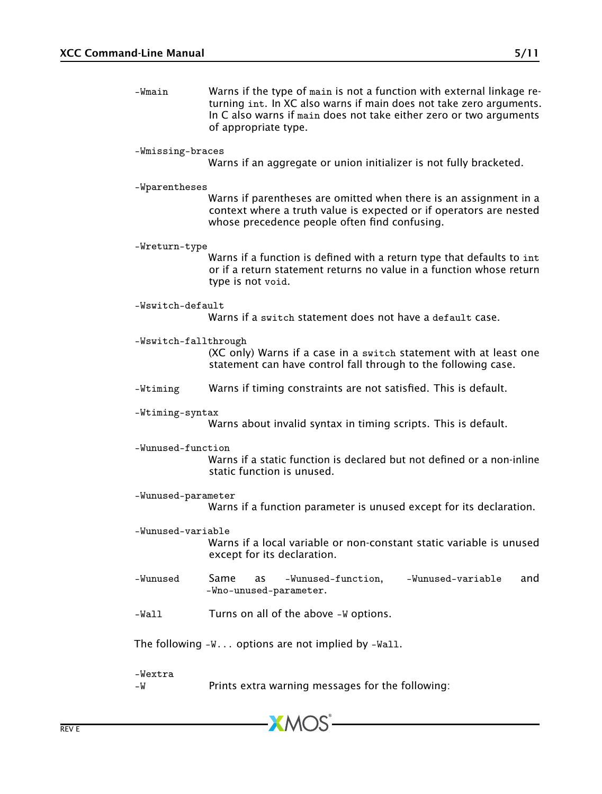-Wmain Warns if the type of main is not a function with external linkage returning int. In XC also warns if main does not take zero arguments. In C also warns if main does not take either zero or two arguments of appropriate type.

#### -Wmissing-braces

Warns if an aggregate or union initializer is not fully bracketed.

#### -Wparentheses

Warns if parentheses are omitted when there is an assignment in a context where a truth value is expected or if operators are nested whose precedence people often find confusing.

-Wreturn-type

Warns if a function is defined with a return type that defaults to int or if a return statement returns no value in a function whose return type is not void.

-Wswitch-default

Warns if a switch statement does not have a default case.

-Wswitch-fallthrough

(XC only) Warns if a case in a switch statement with at least one statement can have control fall through to the following case.

- -Wtiming Warns if timing constraints are not satisfied. This is default.
- -Wtiming-syntax

Warns about invalid syntax in timing scripts. This is default.

-Wunused-function

Warns if a static function is declared but not defined or a non-inline static function is unused.

-Wunused-parameter

Warns if a function parameter is unused except for its declaration.

- -Wunused-variable Warns if a local variable or non-constant static variable is unused except for its declaration.
- -Wunused Same as -Wunused-function, -Wunused-variable and -Wno-unused-parameter.
- -Wall Turns on all of the above -W options.

The following  $-W...$  options are not implied by  $-Wall.$ 

-Wextra

-W Prints extra warning messages for the following: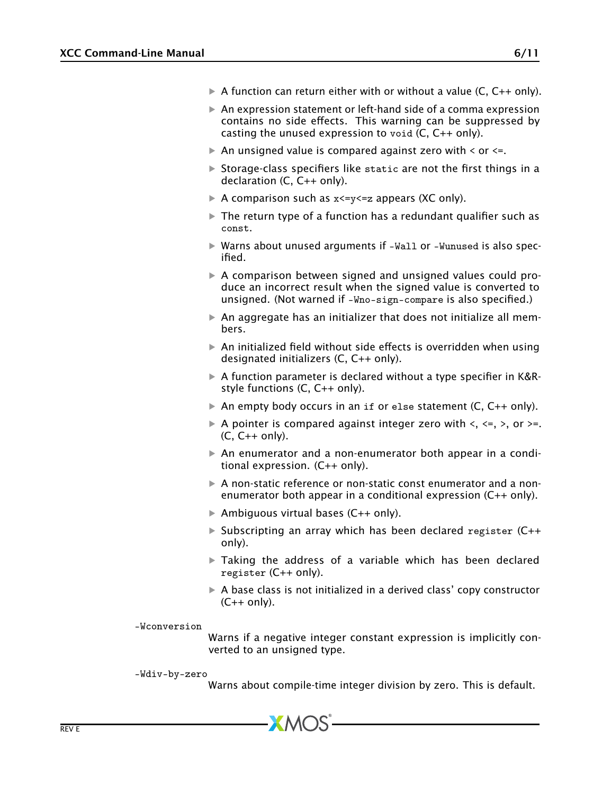- $\triangleright$  A function can return either with or without a value (C, C++ only).
- $\triangleright$  An expression statement or left-hand side of a comma expression contains no side effects. This warning can be suppressed by casting the unused expression to void (C, C++ only).
- $\triangleright$  An unsigned value is compared against zero with  $\leq$  or  $\leq$ .
- $\triangleright$  Storage-class specifiers like static are not the first things in a declaration (C, C++ only).
- A comparison such as  $x \le y \le z$  appears (XC only).
- $\triangleright$  The return type of a function has a redundant qualifier such as const.
- · Warns about unused arguments if -Wall or -Wunused is also specified.
- · A comparison between signed and unsigned values could produce an incorrect result when the signed value is converted to unsigned. (Not warned if -Wno-sign-compare is also specified.)
- $\triangleright$  An aggregate has an initializer that does not initialize all members.
- $\triangleright$  An initialized field without side effects is overridden when using designated initializers (C, C++ only).
- · A function parameter is declared without a type specifier in K&Rstyle functions (C, C++ only).
- $\triangleright$  An empty body occurs in an if or else statement (C, C++ only).
- A pointer is compared against integer zero with  $\lt$ ,  $\lt$ =,  $\gt$ , or  $\gt$ =. (C, C++ only).
- · An enumerator and a non-enumerator both appear in a conditional expression. (C++ only).
- $\triangleright$  A non-static reference or non-static const enumerator and a nonenumerator both appear in a conditional expression (C++ only).
- $\triangleright$  Ambiguous virtual bases (C++ only).
- $\triangleright$  Subscripting an array which has been declared register (C++ only).
- $\triangleright$  Taking the address of a variable which has been declared register (C++ only).
- $\triangleright$  A base class is not initialized in a derived class' copy constructor  $(C++$  only).

-Wconversion

Warns if a negative integer constant expression is implicitly converted to an unsigned type.

-Wdiv-by-zero

Warns about compile-time integer division by zero. This is default.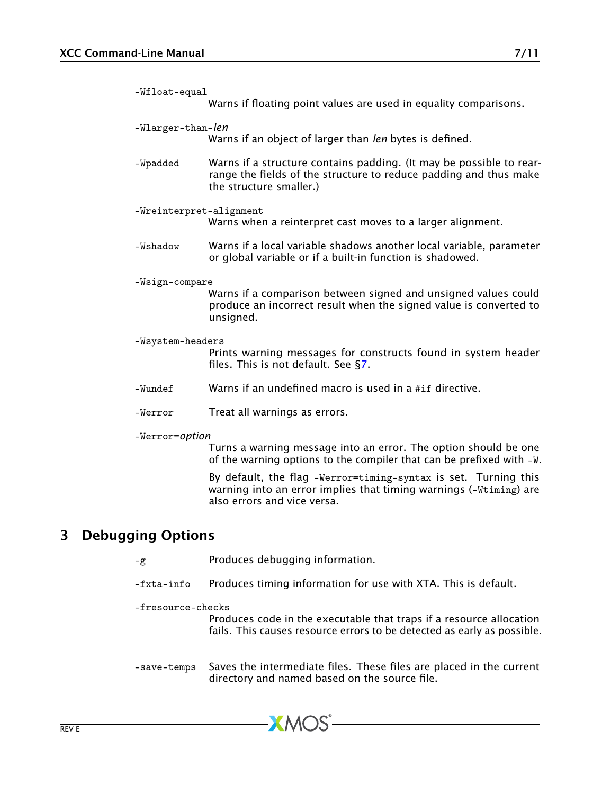| -Wfloat-equal           | Warns if floating point values are used in equality comparisons.                                                                                                    |
|-------------------------|---------------------------------------------------------------------------------------------------------------------------------------------------------------------|
| -Wlarger-than-len       | Warns if an object of larger than len bytes is defined.                                                                                                             |
| -Wpadded                | Warns if a structure contains padding. (It may be possible to rear-<br>range the fields of the structure to reduce padding and thus make<br>the structure smaller.) |
| -Wreinterpret-alignment | Warns when a reinterpret cast moves to a larger alignment.                                                                                                          |
| -Wshadow                | Warns if a local variable shadows another local variable, parameter<br>or global variable or if a built-in function is shadowed.                                    |
| -Wsign-compare          | Warns if a comparison between signed and unsigned values could<br>produce an incorrect result when the signed value is converted to<br>unsigned.                    |
| -Wsystem-headers        | Prints warning messages for constructs found in system header<br>files. This is not default. See $\S$ 7.                                                            |
| -Wundef                 | Warns if an undefined macro is used in a #if directive.                                                                                                             |
| -Werror                 | Treat all warnings as errors.                                                                                                                                       |
| -Werror=option          | Turns a warning message into an error. The option should be one<br>of the warning options to the compiler that can be prefixed with -W.                             |
|                         | By default, the flag -Werror=timing-syntax is set. Turning this<br>warning into an error implies that timing warnings (-Wtiming) are                                |

# 3 Debugging Options

<span id="page-6-0"></span>-g Produces debugging information.

also errors and vice versa.

-fxta-info Produces timing information for use with XTA. This is default.

#### -fresource-checks

Produces code in the executable that traps if a resource allocation fails. This causes resource errors to be detected as early as possible.

-save-temps Saves the intermediate files. These files are placed in the current directory and named based on the source file.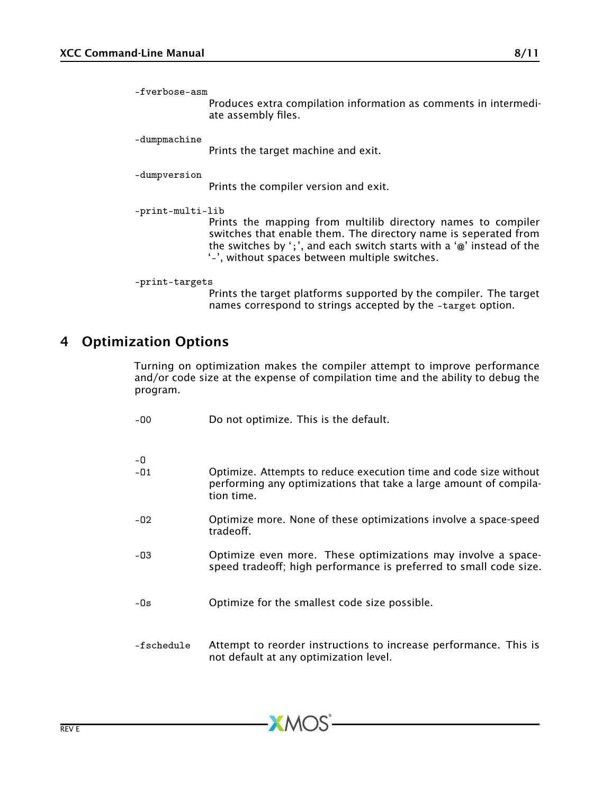-fverbose-asm

Produces extra compilation information as comments in intermediate assembly files.

-dumpmachine

Prints the target machine and exit.

-dumpversion

Prints the compiler version and exit.

-print-multi-lib

Prints the mapping from multilib directory names to compiler switches that enable them. The directory name is seperated from the switches by ';', and each switch starts with a '@' instead of the '-', without spaces between multiple switches.

```
-print-targets
```
Prints the target platforms supported by the compiler. The target names correspond to strings accepted by the -target option.

### 4 Optimization Options

<span id="page-7-0"></span>Turning on optimization makes the compiler attempt to improve performance and/or code size at the expense of compilation time and the ability to debug the program.

| $-00$       | Do not optimize. This is the default.                                                                                                                |
|-------------|------------------------------------------------------------------------------------------------------------------------------------------------------|
| -0<br>$-01$ | Optimize. Attempts to reduce execution time and code size without<br>performing any optimizations that take a large amount of compila-<br>tion time. |
| $-02$       | Optimize more. None of these optimizations involve a space-speed<br>tradeoff.                                                                        |
| $-03$       | Optimize even more. These optimizations may involve a space-<br>speed tradeoff; high performance is preferred to small code size.                    |
| $-0s$       | Optimize for the smallest code size possible.                                                                                                        |
| -fschedule  | Attempt to reorder instructions to increase performance. This is<br>not default at any optimization level.                                           |

 $X$ M $(S)$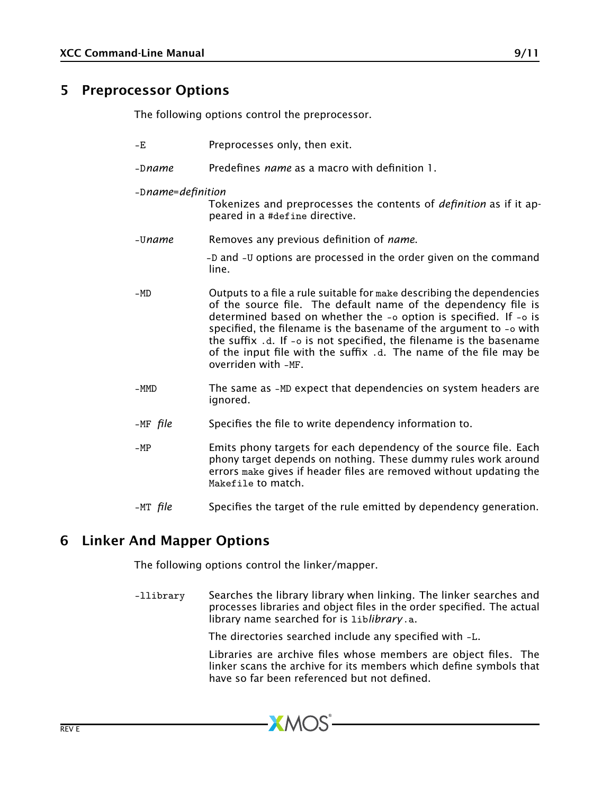### 5 Preprocessor Options

<span id="page-8-0"></span>The following options control the preprocessor.

-E Preprocesses only, then exit. -D*name* Predefines *name* as a macro with definition 1. -D*name*=*definition* Tokenizes and preprocesses the contents of *definition* as if it appeared in a #define directive. -U*name* Removes any previous definition of *name*. -D and -U options are processed in the order given on the command line. -MD Outputs to a file a rule suitable for make describing the dependencies of the source file. The default name of the dependency file is determined based on whether the -o option is specified. If -o is specified, the filename is the basename of the argument to -o with the suffix .d. If -o is not specified, the filename is the basename of the input file with the suffix .d. The name of the file may be overriden with -MF. -MMD The same as -MD expect that dependencies on system headers are ignored. -MF *file* Specifies the file to write dependency information to. -MP Emits phony targets for each dependency of the source file. Each phony target depends on nothing. These dummy rules work around errors make gives if header files are removed without updating the Makefile to match.

#### <span id="page-8-1"></span>-MT *file* Specifies the target of the rule emitted by dependency generation.

### 6 Linker And Mapper Options

The following options control the linker/mapper.

-llibrary Searches the library library when linking. The linker searches and processes libraries and object files in the order specified. The actual library name searched for is lib*library*.a.

**XMOS** 

The directories searched include any specified with -L.

Libraries are archive files whose members are object files. The linker scans the archive for its members which define symbols that have so far been referenced but not defined.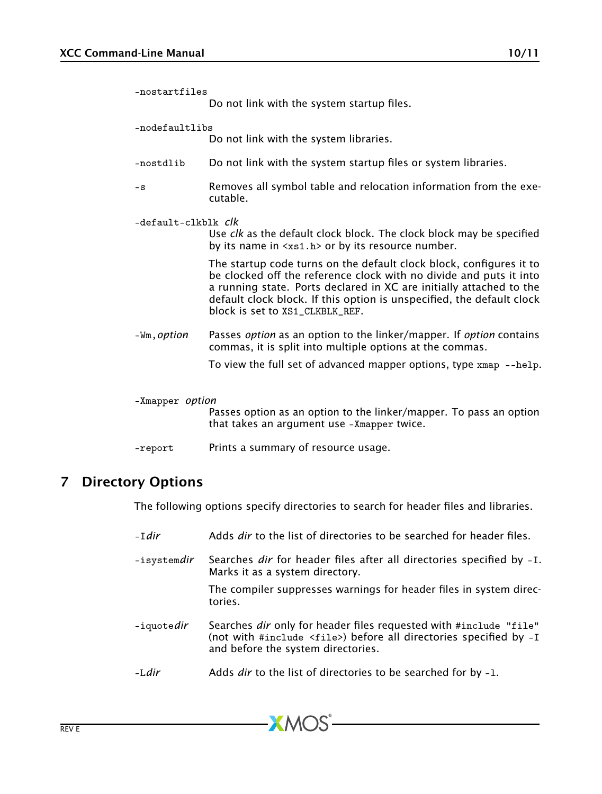| -nostartfiles          | Do not link with the system startup files.                                                                                                                                                                                                                                                                                   |
|------------------------|------------------------------------------------------------------------------------------------------------------------------------------------------------------------------------------------------------------------------------------------------------------------------------------------------------------------------|
| -nodefaultlibs         | Do not link with the system libraries.                                                                                                                                                                                                                                                                                       |
| -nostdlib              | Do not link with the system startup files or system libraries.                                                                                                                                                                                                                                                               |
| $-S$                   | Removes all symbol table and relocation information from the exe-<br>cutable.                                                                                                                                                                                                                                                |
| -default-clkblk clk    | Use clk as the default clock block. The clock block may be specified<br>by its name in $\langle x \rangle$ to $\langle x \rangle$ or by its resource number.                                                                                                                                                                 |
|                        | The startup code turns on the default clock block, configures it to<br>be clocked off the reference clock with no divide and puts it into<br>a running state. Ports declared in XC are initially attached to the<br>default clock block. If this option is unspecified, the default clock<br>block is set to XS1 CLKBLK REF. |
| -Wm, <i>option</i>     | Passes option as an option to the linker/mapper. If option contains<br>commas, it is split into multiple options at the commas.                                                                                                                                                                                              |
|                        | To view the full set of advanced mapper options, type $xmap$ --help.                                                                                                                                                                                                                                                         |
| -Xmapper <i>option</i> | Passes option as an option to the linker/mapper. To pass an option<br>that takes an argument use -Xmapper twice.                                                                                                                                                                                                             |

### <span id="page-9-0"></span>-report Prints a summary of resource usage.

# 7 Directory Options

The following options specify directories to search for header files and libraries.

| $-Tdir$            | Adds dir to the list of directories to be searched for header files.                                                                                                                           |  |
|--------------------|------------------------------------------------------------------------------------------------------------------------------------------------------------------------------------------------|--|
| -isystemdir        | Searches dir for header files after all directories specified by -I.<br>Marks it as a system directory.                                                                                        |  |
|                    | The compiler suppresses warnings for header files in system direc-<br>tories.                                                                                                                  |  |
| -iquote <i>dir</i> | Searches <i>dir</i> only for header files requested with #include "file"<br>(not with #include $\langle$ file>) before all directories specified by $-I$<br>and before the system directories. |  |
| $-Ldir$            | Adds <i>dir</i> to the list of directories to be searched for by -1.                                                                                                                           |  |

**XMOS**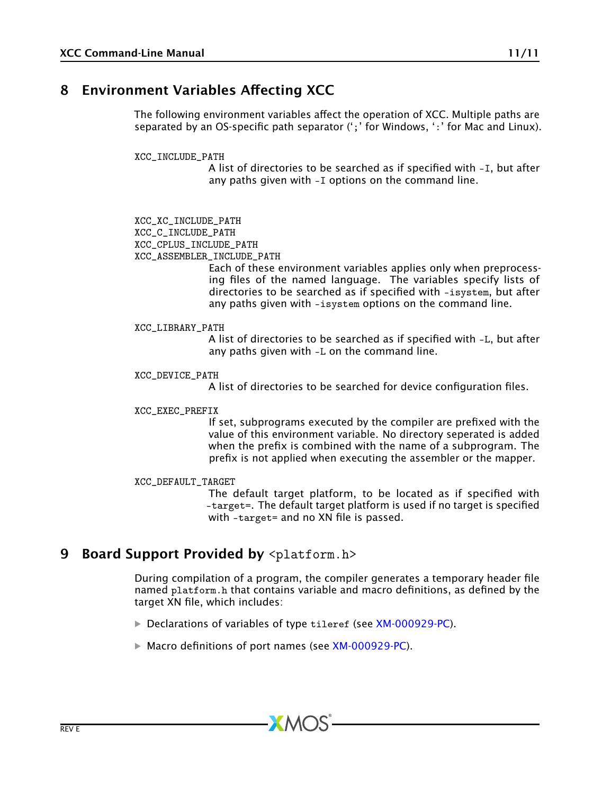# 8 Environment Variables Affecting XCC

<span id="page-10-2"></span><span id="page-10-0"></span>The following environment variables affect the operation of XCC. Multiple paths are separated by an OS-specific path separator (';' for Windows, ':' for Mac and Linux).

XCC\_INCLUDE\_PATH

A list of directories to be searched as if specified with -I, but after any paths given with -I options on the command line.

XCC\_XC\_INCLUDE\_PATH XCC\_C\_INCLUDE\_PATH XCC\_CPLUS\_INCLUDE\_PATH XCC\_ASSEMBLER\_INCLUDE\_PATH

Each of these environment variables applies only when preprocessing files of the named language. The variables specify lists of directories to be searched as if specified with -isystem, but after any paths given with -isystem options on the command line.

XCC\_LIBRARY\_PATH

<span id="page-10-3"></span>A list of directories to be searched as if specified with -L, but after any paths given with -L on the command line.

XCC\_DEVICE\_PATH

A list of directories to be searched for device configuration files.

#### XCC\_EXEC\_PREFIX

If set, subprograms executed by the compiler are prefixed with the value of this environment variable. No directory seperated is added when the prefix is combined with the name of a subprogram. The prefix is not applied when executing the assembler or the mapper.

XCC\_DEFAULT\_TARGET

The default target platform, to be located as if specified with -target=. The default target platform is used if no target is specified with -target= and no XN file is passed.

### 9 Board Support Provided by <platform.h>

<span id="page-10-1"></span>During compilation of a program, the compiler generates a temporary header file named platform.h that contains variable and macro definitions, as defined by the target XN file, which includes:

**• Declarations of variables of type tileref (see [XM-000929-PC\)](http://www.xmos.com/doc/XM-000929-PC/latest#xn-spec-declaration).** 

 $XMOS$ 

· Macro definitions of port names (see [XM-000929-PC\)](http://www.xmos.com/doc/XM-000929-PC/latest#xn-spec-port).